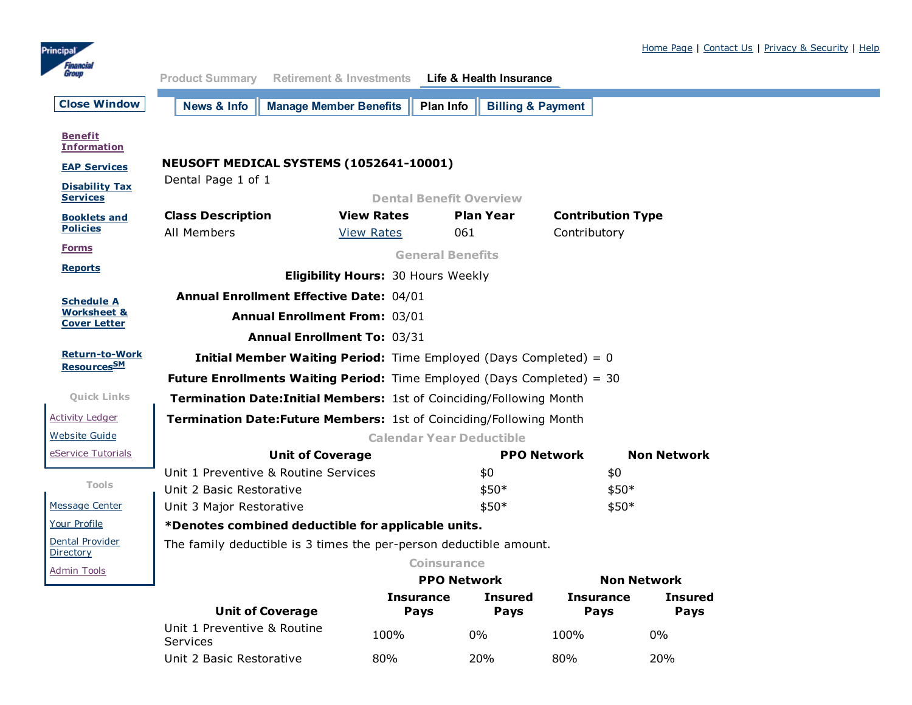

<span id="page-0-0"></span>

| Group                                         | <b>Product Summary</b>                                                        | <b>Retirement &amp; Investments</b> | Life & Health Insurance                   |                                        |                    |  |
|-----------------------------------------------|-------------------------------------------------------------------------------|-------------------------------------|-------------------------------------------|----------------------------------------|--------------------|--|
| <b>Close Window</b>                           | News & Info                                                                   | <b>Manage Member Benefits</b>       | <b>Billing &amp; Payment</b><br>Plan Info |                                        |                    |  |
| <b>Benefit</b><br><b>Information</b>          |                                                                               |                                     |                                           |                                        |                    |  |
| <b>EAP Services</b>                           | NEUSOFT MEDICAL SYSTEMS (1052641-10001)                                       |                                     |                                           |                                        |                    |  |
| <b>Disability Tax</b><br><b>Services</b>      | Dental Page 1 of 1<br><b>Dental Benefit Overview</b>                          |                                     |                                           |                                        |                    |  |
| <b>Booklets and</b>                           | <b>Class Description</b>                                                      | <b>View Rates</b>                   | <b>Plan Year</b>                          | <b>Contribution Type</b>               |                    |  |
| <b>Policies</b>                               | All Members                                                                   | <b>View Rates</b>                   | 061                                       | Contributory                           |                    |  |
| <b>Forms</b>                                  | <b>General Benefits</b>                                                       |                                     |                                           |                                        |                    |  |
| <b>Reports</b>                                | <b>Eligibility Hours: 30 Hours Weekly</b>                                     |                                     |                                           |                                        |                    |  |
| <b>Schedule A</b>                             | <b>Annual Enrollment Effective Date: 04/01</b>                                |                                     |                                           |                                        |                    |  |
| <b>Worksheet &amp;</b><br><b>Cover Letter</b> | <b>Annual Enrollment From: 03/01</b>                                          |                                     |                                           |                                        |                    |  |
|                                               | <b>Annual Enrollment To: 03/31</b>                                            |                                     |                                           |                                        |                    |  |
| <b>Return-to-Work</b>                         | <b>Initial Member Waiting Period:</b> Time Employed (Days Completed) = $0$    |                                     |                                           |                                        |                    |  |
| Resources <sub>SM</sub>                       | <b>Future Enrollments Waiting Period:</b> Time Employed (Days Completed) = 30 |                                     |                                           |                                        |                    |  |
| <b>Quick Links</b>                            | Termination Date: Initial Members: 1st of Coinciding/Following Month          |                                     |                                           |                                        |                    |  |
| <b>Activity Ledger</b>                        | Termination Date: Future Members: 1st of Coinciding/Following Month           |                                     |                                           |                                        |                    |  |
| <b>Website Guide</b>                          | <b>Calendar Year Deductible</b>                                               |                                     |                                           |                                        |                    |  |
| eService Tutorials                            |                                                                               | <b>Unit of Coverage</b>             |                                           | <b>PPO Network</b>                     | <b>Non Network</b> |  |
|                                               | Unit 1 Preventive & Routine Services                                          |                                     | \$0                                       | \$0                                    |                    |  |
| Tools                                         | Unit 2 Basic Restorative                                                      |                                     | \$50*                                     | $$50*$                                 |                    |  |
| Message Center                                | Unit 3 Major Restorative                                                      |                                     | \$50*                                     | \$50*                                  |                    |  |
| Your Profile                                  | *Denotes combined deductible for applicable units.                            |                                     |                                           |                                        |                    |  |
| Dental Provider<br>Directory                  | The family deductible is 3 times the per-person deductible amount.            |                                     |                                           |                                        |                    |  |
| <b>Admin Tools</b>                            |                                                                               |                                     | <b>Coinsurance</b>                        |                                        |                    |  |
|                                               |                                                                               | Insurance                           | <b>PPO Network</b><br><b>Insured</b>      | <b>Non Network</b><br><b>Insurance</b> | <b>Insured</b>     |  |
|                                               |                                                                               |                                     |                                           |                                        |                    |  |

| <b>Unit of Coverage</b>                 | Pays | Pavs  | <b>Pavs</b> | Pays  |
|-----------------------------------------|------|-------|-------------|-------|
| Unit 1 Preventive & Routine<br>Services | 100% | $0\%$ | 100%        | $0\%$ |
| Unit 2 Basic Restorative                | 80%  | 20%   | 80%         | 20%   |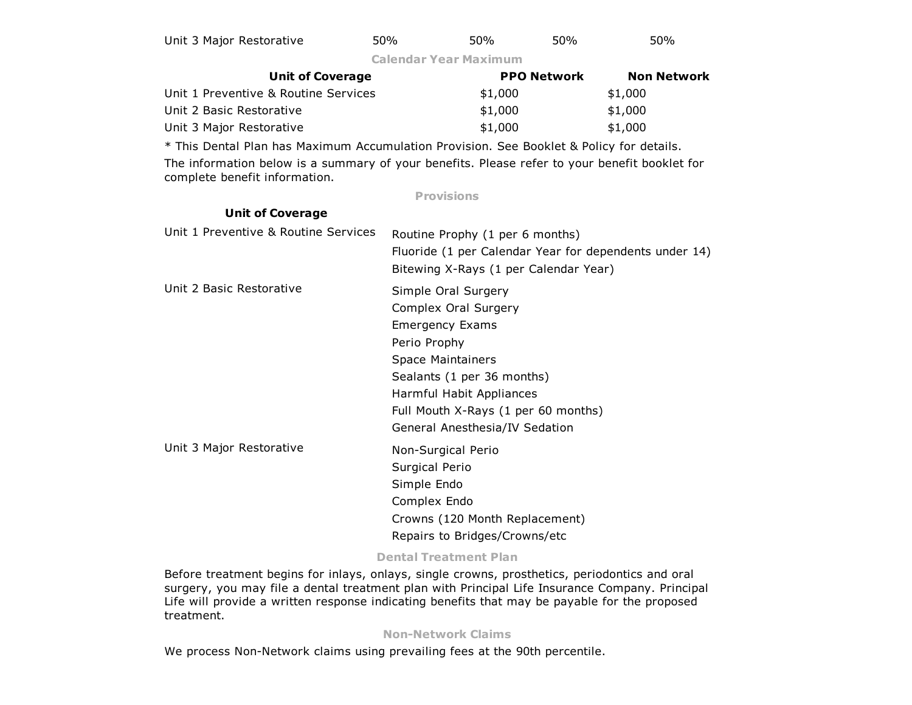| Unit 3 Major Restorative | 50% | 50% | 50% | 50% |
|--------------------------|-----|-----|-----|-----|
|--------------------------|-----|-----|-----|-----|

Calendar Year Maximum

| <b>Unit of Coverage</b>              | <b>PPO Network</b> | <b>Non Network</b> |
|--------------------------------------|--------------------|--------------------|
| Unit 1 Preventive & Routine Services | \$1,000            | \$1,000            |
| Unit 2 Basic Restorative             | \$1,000            | \$1,000            |
| Unit 3 Major Restorative             | \$1,000            | \$1,000            |

\* This Dental Plan has Maximum Accumulation Provision. See Booklet & Policy for details.

Unit of Coverage

The information below is a summary of your benefits. Please refer to your benefit booklet for complete benefit information.

### Provisions

| <u>sucsidencias</u>                  |                                                                                                                                                                                                                                                      |
|--------------------------------------|------------------------------------------------------------------------------------------------------------------------------------------------------------------------------------------------------------------------------------------------------|
| Unit 1 Preventive & Routine Services | Routine Prophy (1 per 6 months)<br>Fluoride (1 per Calendar Year for dependents under 14)<br>Bitewing X-Rays (1 per Calendar Year)                                                                                                                   |
| Unit 2 Basic Restorative             | Simple Oral Surgery<br>Complex Oral Surgery<br><b>Emergency Exams</b><br>Perio Prophy<br><b>Space Maintainers</b><br>Sealants (1 per 36 months)<br>Harmful Habit Appliances<br>Full Mouth X-Rays (1 per 60 months)<br>General Anesthesia/IV Sedation |
| Unit 3 Major Restorative             | Non-Surgical Perio<br>Surgical Perio<br>Simple Endo<br>Complex Endo<br>Crowns (120 Month Replacement)<br>Repairs to Bridges/Crowns/etc                                                                                                               |

# Dental Treatment Plan

Before treatment begins for inlays, onlays, single crowns, prosthetics, periodontics and oral surgery, you may file a dental treatment plan with Principal Life Insurance Company. Principal Life will provide a written response indicating benefits that may be payable for the proposed treatment.

### **Non-Network Claims**

We process Non-Network claims using prevailing fees at the 90th percentile.